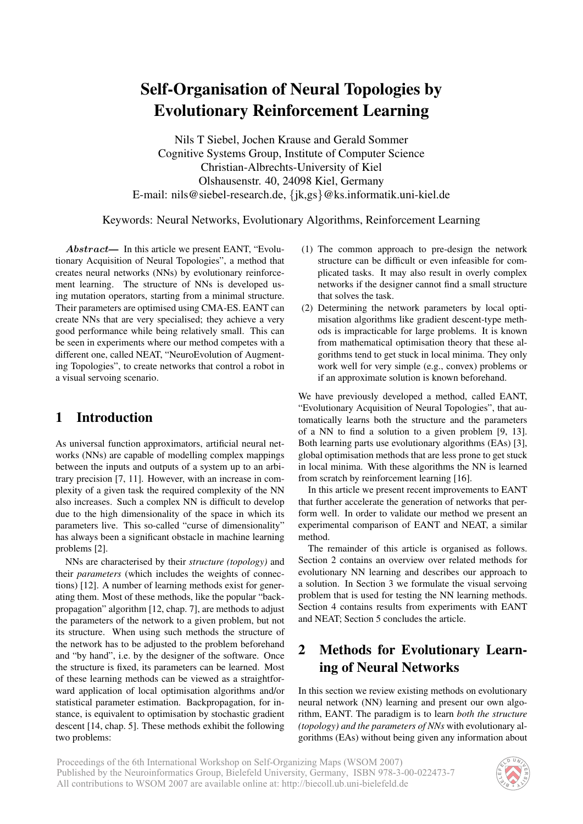# Self-Organisation of Neural Topologies by Evolutionary Reinforcement Learning

Nils T Siebel, Jochen Krause and Gerald Sommer Cognitive Systems Group, Institute of Computer Science Christian-Albrechts-University of Kiel Olshausenstr. 40, 24098 Kiel, Germany E-mail: nils@siebel-research.de, {jk,gs}@ks.informatik.uni-kiel.de

Keywords: Neural Networks, Evolutionary Algorithms, Reinforcement Learning

Abstract— In this article we present EANT, "Evolutionary Acquisition of Neural Topologies", a method that creates neural networks (NNs) by evolutionary reinforcement learning. The structure of NNs is developed using mutation operators, starting from a minimal structure. Their parameters are optimised using CMA-ES. EANT can create NNs that are very specialised; they achieve a very good performance while being relatively small. This can be seen in experiments where our method competes with a different one, called NEAT, "NeuroEvolution of Augmenting Topologies", to create networks that control a robot in a visual servoing scenario.

## 1 Introduction

As universal function approximators, artificial neural networks (NNs) are capable of modelling complex mappings between the inputs and outputs of a system up to an arbitrary precision [7, 11]. However, with an increase in complexity of a given task the required complexity of the NN also increases. Such a complex NN is difficult to develop due to the high dimensionality of the space in which its parameters live. This so-called "curse of dimensionality" has always been a significant obstacle in machine learning problems [2].

NNs are characterised by their *structure (topology)* and their *parameters* (which includes the weights of connections) [12]. A number of learning methods exist for generating them. Most of these methods, like the popular "backpropagation" algorithm [12, chap. 7], are methods to adjust the parameters of the network to a given problem, but not its structure. When using such methods the structure of the network has to be adjusted to the problem beforehand and "by hand", i.e. by the designer of the software. Once the structure is fixed, its parameters can be learned. Most of these learning methods can be viewed as a straightforward application of local optimisation algorithms and/or statistical parameter estimation. Backpropagation, for instance, is equivalent to optimisation by stochastic gradient descent [14, chap. 5]. These methods exhibit the following two problems:

- (1) The common approach to pre-design the network structure can be difficult or even infeasible for complicated tasks. It may also result in overly complex networks if the designer cannot find a small structure that solves the task.
- (2) Determining the network parameters by local optimisation algorithms like gradient descent-type methods is impracticable for large problems. It is known from mathematical optimisation theory that these algorithms tend to get stuck in local minima. They only work well for very simple (e.g., convex) problems or if an approximate solution is known beforehand.

We have previously developed a method, called EANT, "Evolutionary Acquisition of Neural Topologies", that automatically learns both the structure and the parameters of a NN to find a solution to a given problem [9, 13]. Both learning parts use evolutionary algorithms (EAs) [3], global optimisation methods that are less prone to get stuck in local minima. With these algorithms the NN is learned from scratch by reinforcement learning [16].

In this article we present recent improvements to EANT that further accelerate the generation of networks that perform well. In order to validate our method we present an experimental comparison of EANT and NEAT, a similar method.

The remainder of this article is organised as follows. Section 2 contains an overview over related methods for evolutionary NN learning and describes our approach to a solution. In Section 3 we formulate the visual servoing problem that is used for testing the NN learning methods. Section 4 contains results from experiments with EANT and NEAT; Section 5 concludes the article.

## 2 Methods for Evolutionary Learning of Neural Networks

In this section we review existing methods on evolutionary neural network (NN) learning and present our own algorithm, EANT. The paradigm is to learn *both the structure (topology) and the parameters of NNs* with evolutionary algorithms (EAs) without being given any information about

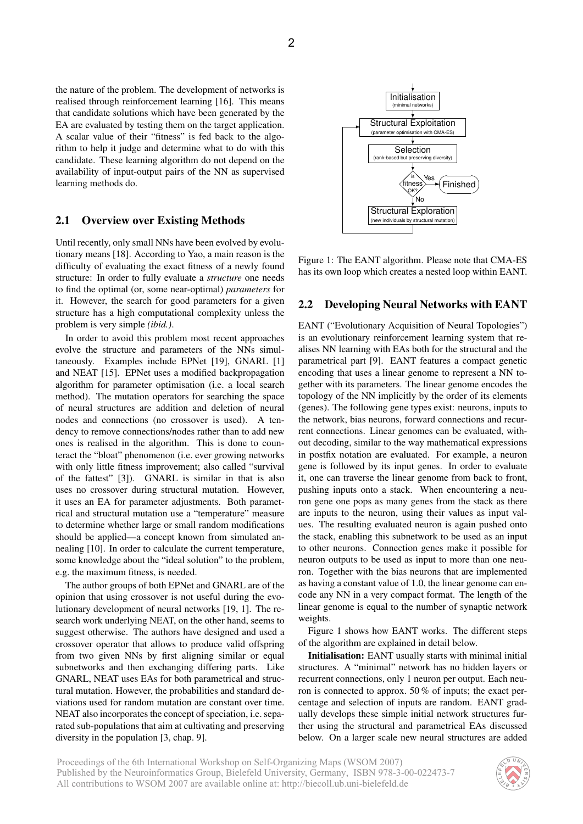the nature of the problem. The development of networks is realised through reinforcement learning [16]. This means that candidate solutions which have been generated by the EA are evaluated by testing them on the target application. A scalar value of their "fitness" is fed back to the algorithm to help it judge and determine what to do with this candidate. These learning algorithm do not depend on the availability of input-output pairs of the NN as supervised learning methods do.

#### 2.1 Overview over Existing Methods

Until recently, only small NNs have been evolved by evolutionary means [18]. According to Yao, a main reason is the difficulty of evaluating the exact fitness of a newly found structure: In order to fully evaluate a *structure* one needs to find the optimal (or, some near-optimal) *parameters* for it. However, the search for good parameters for a given structure has a high computational complexity unless the problem is very simple *(ibid.)*.

In order to avoid this problem most recent approaches evolve the structure and parameters of the NNs simultaneously. Examples include EPNet [19], GNARL [1] and NEAT [15]. EPNet uses a modified backpropagation algorithm for parameter optimisation (i.e. a local search method). The mutation operators for searching the space of neural structures are addition and deletion of neural nodes and connections (no crossover is used). A tendency to remove connections/nodes rather than to add new ones is realised in the algorithm. This is done to counteract the "bloat" phenomenon (i.e. ever growing networks with only little fitness improvement; also called "survival of the fattest" [3]). GNARL is similar in that is also uses no crossover during structural mutation. However, it uses an EA for parameter adjustments. Both parametrical and structural mutation use a "temperature" measure to determine whether large or small random modifications should be applied—a concept known from simulated annealing [10]. In order to calculate the current temperature, some knowledge about the "ideal solution" to the problem, e.g. the maximum fitness, is needed.

The author groups of both EPNet and GNARL are of the opinion that using crossover is not useful during the evolutionary development of neural networks [19, 1]. The research work underlying NEAT, on the other hand, seems to suggest otherwise. The authors have designed and used a crossover operator that allows to produce valid offspring from two given NNs by first aligning similar or equal subnetworks and then exchanging differing parts. Like GNARL, NEAT uses EAs for both parametrical and structural mutation. However, the probabilities and standard deviations used for random mutation are constant over time. NEAT also incorporates the concept of speciation, i.e. separated sub-populations that aim at cultivating and preserving diversity in the population [3, chap. 9].

 $\overline{a}$ Initialisation (minimal netv ❄ Structural Exploitation (parameter optimisation with CMA-ES) ❄ Selection (rank-based but preserving diversity) ❄ ❅❅ fitness WESS is OK? Yes  $\sqrt{2}$ ✍ ☞ **Finished** ❄No Structural Exploration (new individuals by structural mutation)  $\ddot{\phantom{a}}$ 

Figure 1: The EANT algorithm. Please note that CMA-ES has its own loop which creates a nested loop within EANT.

#### 2.2 Developing Neural Networks with EANT

EANT ("Evolutionary Acquisition of Neural Topologies") is an evolutionary reinforcement learning system that realises NN learning with EAs both for the structural and the parametrical part [9]. EANT features a compact genetic encoding that uses a linear genome to represent a NN together with its parameters. The linear genome encodes the topology of the NN implicitly by the order of its elements (genes). The following gene types exist: neurons, inputs to the network, bias neurons, forward connections and recurrent connections. Linear genomes can be evaluated, without decoding, similar to the way mathematical expressions in postfix notation are evaluated. For example, a neuron gene is followed by its input genes. In order to evaluate it, one can traverse the linear genome from back to front, pushing inputs onto a stack. When encountering a neuron gene one pops as many genes from the stack as there are inputs to the neuron, using their values as input values. The resulting evaluated neuron is again pushed onto the stack, enabling this subnetwork to be used as an input to other neurons. Connection genes make it possible for neuron outputs to be used as input to more than one neuron. Together with the bias neurons that are implemented as having a constant value of 1.0, the linear genome can encode any NN in a very compact format. The length of the linear genome is equal to the number of synaptic network weights.

Figure 1 shows how EANT works. The different steps of the algorithm are explained in detail below.

Initialisation: EANT usually starts with minimal initial structures. A "minimal" network has no hidden layers or recurrent connections, only 1 neuron per output. Each neuron is connected to approx. 50 % of inputs; the exact percentage and selection of inputs are random. EANT gradually develops these simple initial network structures further using the structural and parametrical EAs discussed below. On a larger scale new neural structures are added

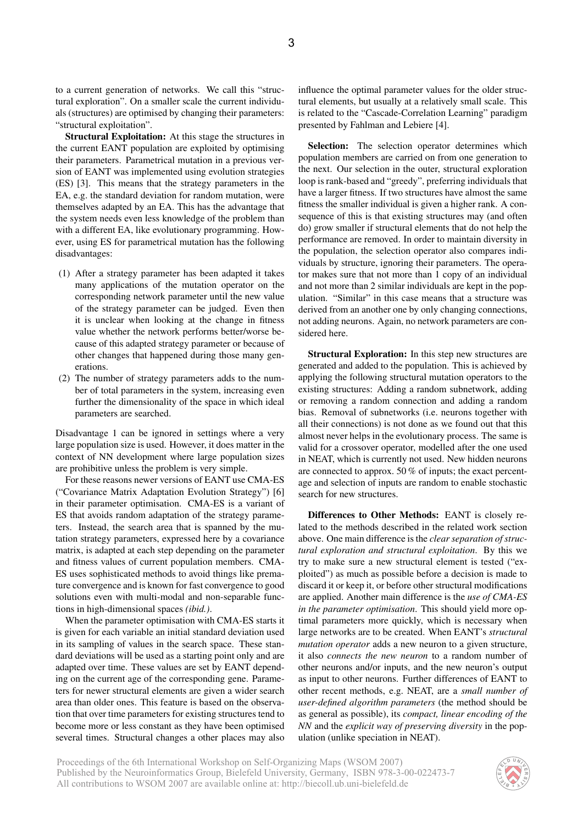to a current generation of networks. We call this "structural exploration". On a smaller scale the current individuals (structures) are optimised by changing their parameters: "structural exploitation".

Structural Exploitation: At this stage the structures in the current EANT population are exploited by optimising their parameters. Parametrical mutation in a previous version of EANT was implemented using evolution strategies (ES) [3]. This means that the strategy parameters in the EA, e.g. the standard deviation for random mutation, were themselves adapted by an EA. This has the advantage that the system needs even less knowledge of the problem than with a different EA, like evolutionary programming. However, using ES for parametrical mutation has the following disadvantages:

- (1) After a strategy parameter has been adapted it takes many applications of the mutation operator on the corresponding network parameter until the new value of the strategy parameter can be judged. Even then it is unclear when looking at the change in fitness value whether the network performs better/worse because of this adapted strategy parameter or because of other changes that happened during those many generations.
- (2) The number of strategy parameters adds to the number of total parameters in the system, increasing even further the dimensionality of the space in which ideal parameters are searched.

Disadvantage 1 can be ignored in settings where a very large population size is used. However, it does matter in the context of NN development where large population sizes are prohibitive unless the problem is very simple.

For these reasons newer versions of EANT use CMA-ES ("Covariance Matrix Adaptation Evolution Strategy") [6] in their parameter optimisation. CMA-ES is a variant of ES that avoids random adaptation of the strategy parameters. Instead, the search area that is spanned by the mutation strategy parameters, expressed here by a covariance matrix, is adapted at each step depending on the parameter and fitness values of current population members. CMA-ES uses sophisticated methods to avoid things like premature convergence and is known for fast convergence to good solutions even with multi-modal and non-separable functions in high-dimensional spaces *(ibid.)*.

When the parameter optimisation with CMA-ES starts it is given for each variable an initial standard deviation used in its sampling of values in the search space. These standard deviations will be used as a starting point only and are adapted over time. These values are set by EANT depending on the current age of the corresponding gene. Parameters for newer structural elements are given a wider search area than older ones. This feature is based on the observation that over time parameters for existing structures tend to become more or less constant as they have been optimised several times. Structural changes a other places may also influence the optimal parameter values for the older structural elements, but usually at a relatively small scale. This is related to the "Cascade-Correlation Learning" paradigm presented by Fahlman and Lebiere [4].

Selection: The selection operator determines which population members are carried on from one generation to the next. Our selection in the outer, structural exploration loop is rank-based and "greedy", preferring individuals that have a larger fitness. If two structures have almost the same fitness the smaller individual is given a higher rank. A consequence of this is that existing structures may (and often do) grow smaller if structural elements that do not help the performance are removed. In order to maintain diversity in the population, the selection operator also compares individuals by structure, ignoring their parameters. The operator makes sure that not more than 1 copy of an individual and not more than 2 similar individuals are kept in the population. "Similar" in this case means that a structure was derived from an another one by only changing connections, not adding neurons. Again, no network parameters are considered here.

Structural Exploration: In this step new structures are generated and added to the population. This is achieved by applying the following structural mutation operators to the existing structures: Adding a random subnetwork, adding or removing a random connection and adding a random bias. Removal of subnetworks (i.e. neurons together with all their connections) is not done as we found out that this almost never helps in the evolutionary process. The same is valid for a crossover operator, modelled after the one used in NEAT, which is currently not used. New hidden neurons are connected to approx. 50 % of inputs; the exact percentage and selection of inputs are random to enable stochastic search for new structures.

Differences to Other Methods: EANT is closely related to the methods described in the related work section above. One main difference is the *clear separation of structural exploration and structural exploitation*. By this we try to make sure a new structural element is tested ("exploited") as much as possible before a decision is made to discard it or keep it, or before other structural modifications are applied. Another main difference is the *use of CMA-ES in the parameter optimisation*. This should yield more optimal parameters more quickly, which is necessary when large networks are to be created. When EANT's *structural mutation operator* adds a new neuron to a given structure, it also *connects the new neuron* to a random number of other neurons and/or inputs, and the new neuron's output as input to other neurons. Further differences of EANT to other recent methods, e.g. NEAT, are a *small number of user-defined algorithm parameters* (the method should be as general as possible), its *compact, linear encoding of the NN* and the *explicit way of preserving diversity* in the population (unlike speciation in NEAT).

Proceedings of the 6th International Workshop on Self-Organizing Maps (WSOM 2007) Published by the Neuroinformatics Group, Bielefeld University, Germany, ISBN 978-3-00-022473-7 All contributions to WSOM 2007 are available online at: http://biecoll.ub.uni-bielefeld.de

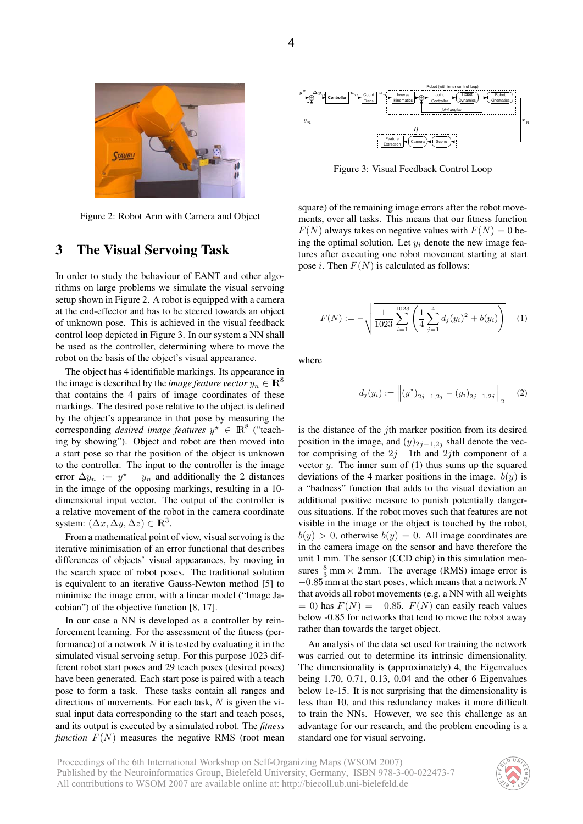

Figure 2: Robot Arm with Camera and Object

### 3 The Visual Servoing Task

In order to study the behaviour of EANT and other algorithms on large problems we simulate the visual servoing setup shown in Figure 2. A robot is equipped with a camera at the end-effector and has to be steered towards an object of unknown pose. This is achieved in the visual feedback control loop depicted in Figure 3. In our system a NN shall be used as the controller, determining where to move the robot on the basis of the object's visual appearance.

The object has 4 identifiable markings. Its appearance in the image is described by the *image feature vector*  $y_n \in \mathbb{R}^8$ that contains the 4 pairs of image coordinates of these markings. The desired pose relative to the object is defined by the object's appearance in that pose by measuring the corresponding *desired image features*  $y^* \in \mathbb{R}^8$  ("teaching by showing"). Object and robot are then moved into a start pose so that the position of the object is unknown to the controller. The input to the controller is the image error  $\Delta y_n := y^* - y_n$  and additionally the 2 distances in the image of the opposing markings, resulting in a 10 dimensional input vector. The output of the controller is a relative movement of the robot in the camera coordinate system:  $(\Delta x, \Delta y, \Delta z) \in \mathbb{R}^3$ .

From a mathematical point of view, visual servoing is the iterative minimisation of an error functional that describes differences of objects' visual appearances, by moving in the search space of robot poses. The traditional solution is equivalent to an iterative Gauss-Newton method [5] to minimise the image error, with a linear model ("Image Jacobian") of the objective function [8, 17].

In our case a NN is developed as a controller by reinforcement learning. For the assessment of the fitness (performance) of a network  $N$  it is tested by evaluating it in the simulated visual servoing setup. For this purpose 1023 different robot start poses and 29 teach poses (desired poses) have been generated. Each start pose is paired with a teach pose to form a task. These tasks contain all ranges and directions of movements. For each task,  $N$  is given the visual input data corresponding to the start and teach poses, and its output is executed by a simulated robot. The *fitness function*  $F(N)$  measures the negative RMS (root mean



Figure 3: Visual Feedback Control Loop

square) of the remaining image errors after the robot movements, over all tasks. This means that our fitness function  $F(N)$  always takes on negative values with  $F(N) = 0$  being the optimal solution. Let  $y_i$  denote the new image features after executing one robot movement starting at start pose *i*. Then  $F(N)$  is calculated as follows:

$$
F(N) := -\sqrt{\frac{1}{1023} \sum_{i=1}^{1023} \left( \frac{1}{4} \sum_{j=1}^{4} d_j (y_i)^2 + b(y_i) \right)}
$$
 (1)

where

$$
d_j(y_i) := \left\| (y^*)_{2j-1,2j} - (y_i)_{2j-1,2j} \right\|_2 \quad (2)
$$

is the distance of the *j*th marker position from its desired position in the image, and  $(y)_{2i-1,2j}$  shall denote the vector comprising of the  $2j - 1$ th and  $2j$ th component of a vector  $y$ . The inner sum of (1) thus sums up the squared deviations of the 4 marker positions in the image.  $b(y)$  is a "badness" function that adds to the visual deviation an additional positive measure to punish potentially dangerous situations. If the robot moves such that features are not visible in the image or the object is touched by the robot,  $b(y) > 0$ , otherwise  $b(y) = 0$ . All image coordinates are in the camera image on the sensor and have therefore the unit 1 mm. The sensor (CCD chip) in this simulation measures  $\frac{8}{3}$  mm × 2 mm. The average (RMS) image error is  $-0.85$  mm at the start poses, which means that a network N that avoids all robot movements (e.g. a NN with all weights  $= 0$ ) has  $F(N) = -0.85$ .  $F(N)$  can easily reach values below -0.85 for networks that tend to move the robot away rather than towards the target object.

An analysis of the data set used for training the network was carried out to determine its intrinsic dimensionality. The dimensionality is (approximately) 4, the Eigenvalues being 1.70, 0.71, 0.13, 0.04 and the other 6 Eigenvalues below 1e-15. It is not surprising that the dimensionality is less than 10, and this redundancy makes it more difficult to train the NNs. However, we see this challenge as an advantage for our research, and the problem encoding is a standard one for visual servoing.

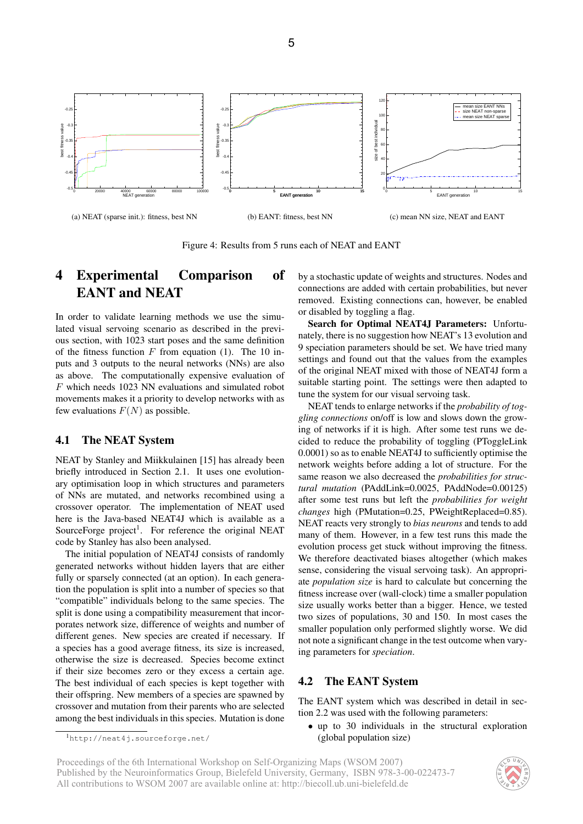

Figure 4: Results from 5 runs each of NEAT and EANT

## 4 Experimental Comparison of EANT and NEAT

In order to validate learning methods we use the simulated visual servoing scenario as described in the previous section, with 1023 start poses and the same definition of the fitness function  $F$  from equation (1). The 10 inputs and 3 outputs to the neural networks (NNs) are also as above. The computationally expensive evaluation of F which needs 1023 NN evaluations and simulated robot movements makes it a priority to develop networks with as few evaluations  $F(N)$  as possible.

#### 4.1 The NEAT System

NEAT by Stanley and Miikkulainen [15] has already been briefly introduced in Section 2.1. It uses one evolutionary optimisation loop in which structures and parameters of NNs are mutated, and networks recombined using a crossover operator. The implementation of NEAT used here is the Java-based NEAT4J which is available as a SourceForge project<sup>1</sup>. For reference the original NEAT code by Stanley has also been analysed.

The initial population of NEAT4J consists of randomly generated networks without hidden layers that are either fully or sparsely connected (at an option). In each generation the population is split into a number of species so that "compatible" individuals belong to the same species. The split is done using a compatibility measurement that incorporates network size, difference of weights and number of different genes. New species are created if necessary. If a species has a good average fitness, its size is increased, otherwise the size is decreased. Species become extinct if their size becomes zero or they excess a certain age. The best individual of each species is kept together with their offspring. New members of a species are spawned by crossover and mutation from their parents who are selected among the best individuals in this species. Mutation is done by a stochastic update of weights and structures. Nodes and connections are added with certain probabilities, but never removed. Existing connections can, however, be enabled or disabled by toggling a flag.

Search for Optimal NEAT4J Parameters: Unfortunately, there is no suggestion how NEAT's 13 evolution and 9 speciation parameters should be set. We have tried many settings and found out that the values from the examples of the original NEAT mixed with those of NEAT4J form a suitable starting point. The settings were then adapted to tune the system for our visual servoing task.

NEAT tends to enlarge networks if the *probability of toggling connections* on/off is low and slows down the growing of networks if it is high. After some test runs we decided to reduce the probability of toggling (PToggleLink 0.0001) so as to enable NEAT4J to sufficiently optimise the network weights before adding a lot of structure. For the same reason we also decreased the *probabilities for structural mutation* (PAddLink=0.0025, PAddNode=0.00125) after some test runs but left the *probabilities for weight changes* high (PMutation=0.25, PWeightReplaced=0.85). NEAT reacts very strongly to *bias neurons* and tends to add many of them. However, in a few test runs this made the evolution process get stuck without improving the fitness. We therefore deactivated biases altogether (which makes sense, considering the visual servoing task). An appropriate *population size* is hard to calculate but concerning the fitness increase over (wall-clock) time a smaller population size usually works better than a bigger. Hence, we tested two sizes of populations, 30 and 150. In most cases the smaller population only performed slightly worse. We did not note a significant change in the test outcome when varying parameters for *speciation*.

#### 4.2 The EANT System

The EANT system which was described in detail in section 2.2 was used with the following parameters:

• up to 30 individuals in the structural exploration (global population size)

Proceedings of the 6th International Workshop on Self-Organizing Maps (WSOM 2007) Published by the Neuroinformatics Group, Bielefeld University, Germany, ISBN 978-3-00-022473-7 All contributions to WSOM 2007 are available online at: http://biecoll.ub.uni-bielefeld.de



<sup>1</sup>http://neat4j.sourceforge.net/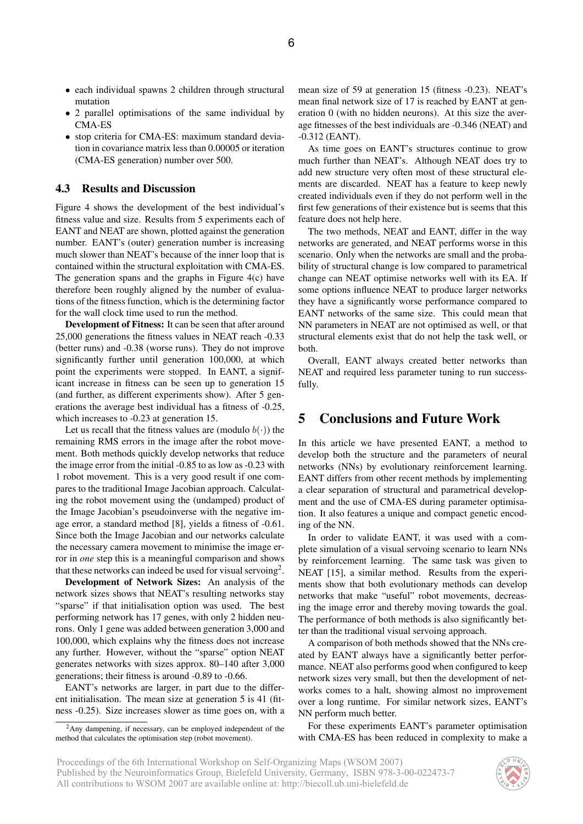- each individual spawns 2 children through structural mutation
- 2 parallel optimisations of the same individual by CMA-ES
- stop criteria for CMA-ES: maximum standard deviation in covariance matrix less than 0.00005 or iteration (CMA-ES generation) number over 500.

#### 4.3 Results and Discussion

Figure 4 shows the development of the best individual's fitness value and size. Results from 5 experiments each of EANT and NEAT are shown, plotted against the generation number. EANT's (outer) generation number is increasing much slower than NEAT's because of the inner loop that is contained within the structural exploitation with CMA-ES. The generation spans and the graphs in Figure 4(c) have therefore been roughly aligned by the number of evaluations of the fitness function, which is the determining factor for the wall clock time used to run the method.

Development of Fitness: It can be seen that after around 25,000 generations the fitness values in NEAT reach -0.33 (better runs) and -0.38 (worse runs). They do not improve significantly further until generation 100,000, at which point the experiments were stopped. In EANT, a significant increase in fitness can be seen up to generation 15 (and further, as different experiments show). After 5 generations the average best individual has a fitness of -0.25, which increases to  $-0.23$  at generation 15.

Let us recall that the fitness values are (modulo  $b(\cdot)$ ) the remaining RMS errors in the image after the robot movement. Both methods quickly develop networks that reduce the image error from the initial -0.85 to as low as -0.23 with 1 robot movement. This is a very good result if one compares to the traditional Image Jacobian approach. Calculating the robot movement using the (undamped) product of the Image Jacobian's pseudoinverse with the negative image error, a standard method [8], yields a fitness of -0.61. Since both the Image Jacobian and our networks calculate the necessary camera movement to minimise the image error in *one* step this is a meaningful comparison and shows that these networks can indeed be used for visual servoing<sup>2</sup>.

Development of Network Sizes: An analysis of the network sizes shows that NEAT's resulting networks stay "sparse" if that initialisation option was used. The best performing network has 17 genes, with only 2 hidden neurons. Only 1 gene was added between generation 3,000 and 100,000, which explains why the fitness does not increase any further. However, without the "sparse" option NEAT generates networks with sizes approx. 80–140 after 3,000 generations; their fitness is around -0.89 to -0.66.

EANT's networks are larger, in part due to the different initialisation. The mean size at generation 5 is 41 (fitness -0.25). Size increases slower as time goes on, with a mean size of 59 at generation 15 (fitness -0.23). NEAT's mean final network size of 17 is reached by EANT at generation 0 (with no hidden neurons). At this size the average fitnesses of the best individuals are -0.346 (NEAT) and -0.312 (EANT).

As time goes on EANT's structures continue to grow much further than NEAT's. Although NEAT does try to add new structure very often most of these structural elements are discarded. NEAT has a feature to keep newly created individuals even if they do not perform well in the first few generations of their existence but is seems that this feature does not help here.

The two methods, NEAT and EANT, differ in the way networks are generated, and NEAT performs worse in this scenario. Only when the networks are small and the probability of structural change is low compared to parametrical change can NEAT optimise networks well with its EA. If some options influence NEAT to produce larger networks they have a significantly worse performance compared to EANT networks of the same size. This could mean that NN parameters in NEAT are not optimised as well, or that structural elements exist that do not help the task well, or both.

Overall, EANT always created better networks than NEAT and required less parameter tuning to run successfully.

## 5 Conclusions and Future Work

In this article we have presented EANT, a method to develop both the structure and the parameters of neural networks (NNs) by evolutionary reinforcement learning. EANT differs from other recent methods by implementing a clear separation of structural and parametrical development and the use of CMA-ES during parameter optimisation. It also features a unique and compact genetic encoding of the NN.

In order to validate EANT, it was used with a complete simulation of a visual servoing scenario to learn NNs by reinforcement learning. The same task was given to NEAT [15], a similar method. Results from the experiments show that both evolutionary methods can develop networks that make "useful" robot movements, decreasing the image error and thereby moving towards the goal. The performance of both methods is also significantly better than the traditional visual servoing approach.

A comparison of both methods showed that the NNs created by EANT always have a significantly better performance. NEAT also performs good when configured to keep network sizes very small, but then the development of networks comes to a halt, showing almost no improvement over a long runtime. For similar network sizes, EANT's NN perform much better.

For these experiments EANT's parameter optimisation with CMA-ES has been reduced in complexity to make a



<sup>2</sup>Any dampening, if necessary, can be employed independent of the method that calculates the optimisation step (robot movement).